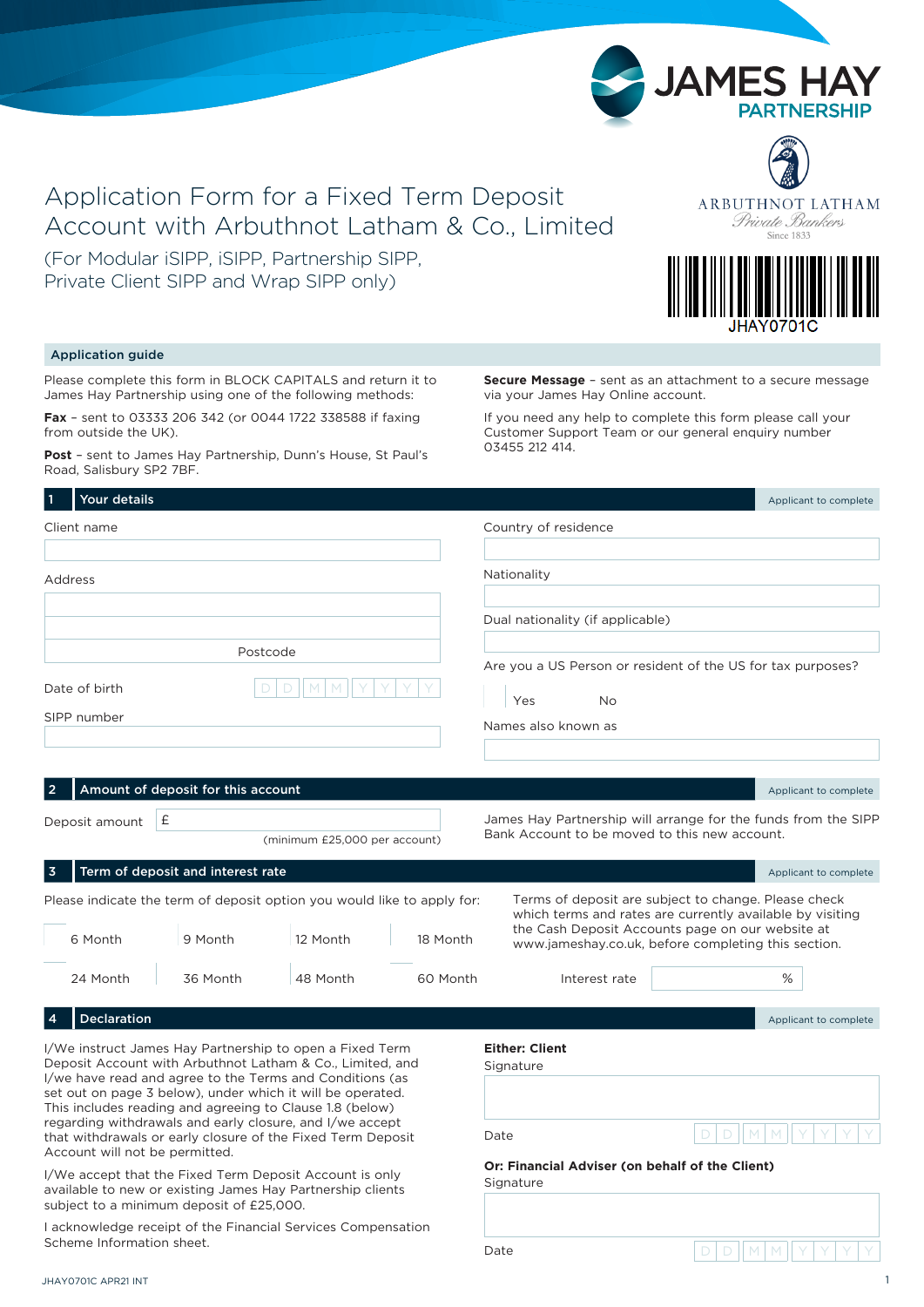# Application Form for a Fixed Term Deposit Account with Arbuthnot Latham & Co., Limited

(For Modular iSIPP, iSIPP, Partnership SIPP, Private Client SIPP and Wrap SIPP only)



ARBUTHNOT LATHAM Private Bankers

#### Application guide

Please complete this form in BLOCK CAPITALS and return it to James Hay Partnership using one of the following methods:

**Fax** – sent to 03333 206 342 (or 0044 1722 338588 if faxing from outside the UK).

**Post** – sent to James Hay Partnership, Dunn's House, St Paul's Road, Salisbury SP2 7BF.

**Secure Message** – sent as an attachment to a secure message via your James Hay Online account.

If you need any help to complete this form please call your Customer Support Team or our general enquiry number 03455 212 414.

| Your details                                                                                                                                                                                                                                                                                                                                                                                                                                                             |                                    |                                                                                     |          |                                                                                                                                                                                                                              |             | Applicant to complete |
|--------------------------------------------------------------------------------------------------------------------------------------------------------------------------------------------------------------------------------------------------------------------------------------------------------------------------------------------------------------------------------------------------------------------------------------------------------------------------|------------------------------------|-------------------------------------------------------------------------------------|----------|------------------------------------------------------------------------------------------------------------------------------------------------------------------------------------------------------------------------------|-------------|-----------------------|
| Client name                                                                                                                                                                                                                                                                                                                                                                                                                                                              |                                    |                                                                                     |          | Country of residence                                                                                                                                                                                                         |             |                       |
| Address                                                                                                                                                                                                                                                                                                                                                                                                                                                                  |                                    |                                                                                     |          | Nationality                                                                                                                                                                                                                  |             |                       |
|                                                                                                                                                                                                                                                                                                                                                                                                                                                                          |                                    |                                                                                     |          | Dual nationality (if applicable)                                                                                                                                                                                             |             |                       |
| Date of birth                                                                                                                                                                                                                                                                                                                                                                                                                                                            |                                    | Postcode                                                                            |          | Are you a US Person or resident of the US for tax purposes?                                                                                                                                                                  |             |                       |
| SIPP number                                                                                                                                                                                                                                                                                                                                                                                                                                                              |                                    |                                                                                     |          | Yes<br><b>No</b><br>Names also known as                                                                                                                                                                                      |             |                       |
|                                                                                                                                                                                                                                                                                                                                                                                                                                                                          | Amount of deposit for this account |                                                                                     |          |                                                                                                                                                                                                                              |             | Applicant to complete |
| Deposit amount                                                                                                                                                                                                                                                                                                                                                                                                                                                           | £                                  | (minimum £25,000 per account)                                                       |          | James Hay Partnership will arrange for the funds from the SIPP<br>Bank Account to be moved to this new account.                                                                                                              |             |                       |
| 3                                                                                                                                                                                                                                                                                                                                                                                                                                                                        | Term of deposit and interest rate  |                                                                                     |          |                                                                                                                                                                                                                              |             | Applicant to complete |
| 6 Month                                                                                                                                                                                                                                                                                                                                                                                                                                                                  | 9 Month                            | Please indicate the term of deposit option you would like to apply for:<br>12 Month | 18 Month | Terms of deposit are subject to change. Please check<br>which terms and rates are currently available by visiting<br>the Cash Deposit Accounts page on our website at<br>www.jameshay.co.uk, before completing this section. |             |                       |
| 24 Month                                                                                                                                                                                                                                                                                                                                                                                                                                                                 | 36 Month                           | 48 Month                                                                            | 60 Month | Interest rate                                                                                                                                                                                                                |             | %                     |
| Declaration<br>4                                                                                                                                                                                                                                                                                                                                                                                                                                                         |                                    |                                                                                     |          |                                                                                                                                                                                                                              |             | Applicant to complete |
| I/We instruct James Hay Partnership to open a Fixed Term<br>Deposit Account with Arbuthnot Latham & Co., Limited, and<br>I/we have read and agree to the Terms and Conditions (as<br>set out on page 3 below), under which it will be operated.<br>This includes reading and agreeing to Clause 1.8 (below)<br>regarding withdrawals and early closure, and I/we accept<br>that withdrawals or early closure of the Fixed Term Deposit<br>Account will not be permitted. |                                    |                                                                                     |          | <b>Either: Client</b><br>Signature                                                                                                                                                                                           | $\Box$<br>D | IMM.                  |
|                                                                                                                                                                                                                                                                                                                                                                                                                                                                          |                                    |                                                                                     |          | Date                                                                                                                                                                                                                         |             |                       |
| I/We accept that the Fixed Term Deposit Account is only<br>available to new or existing James Hay Partnership clients<br>subject to a minimum deposit of £25,000.                                                                                                                                                                                                                                                                                                        |                                    |                                                                                     |          | Or: Financial Adviser (on behalf of the Client)<br>Signature                                                                                                                                                                 |             |                       |
| I acknowledge receipt of the Financial Services Compensation                                                                                                                                                                                                                                                                                                                                                                                                             |                                    |                                                                                     |          |                                                                                                                                                                                                                              |             |                       |



Scheme Information sheet.

 $D | D | | M | M | | Y | Y | Y | Y$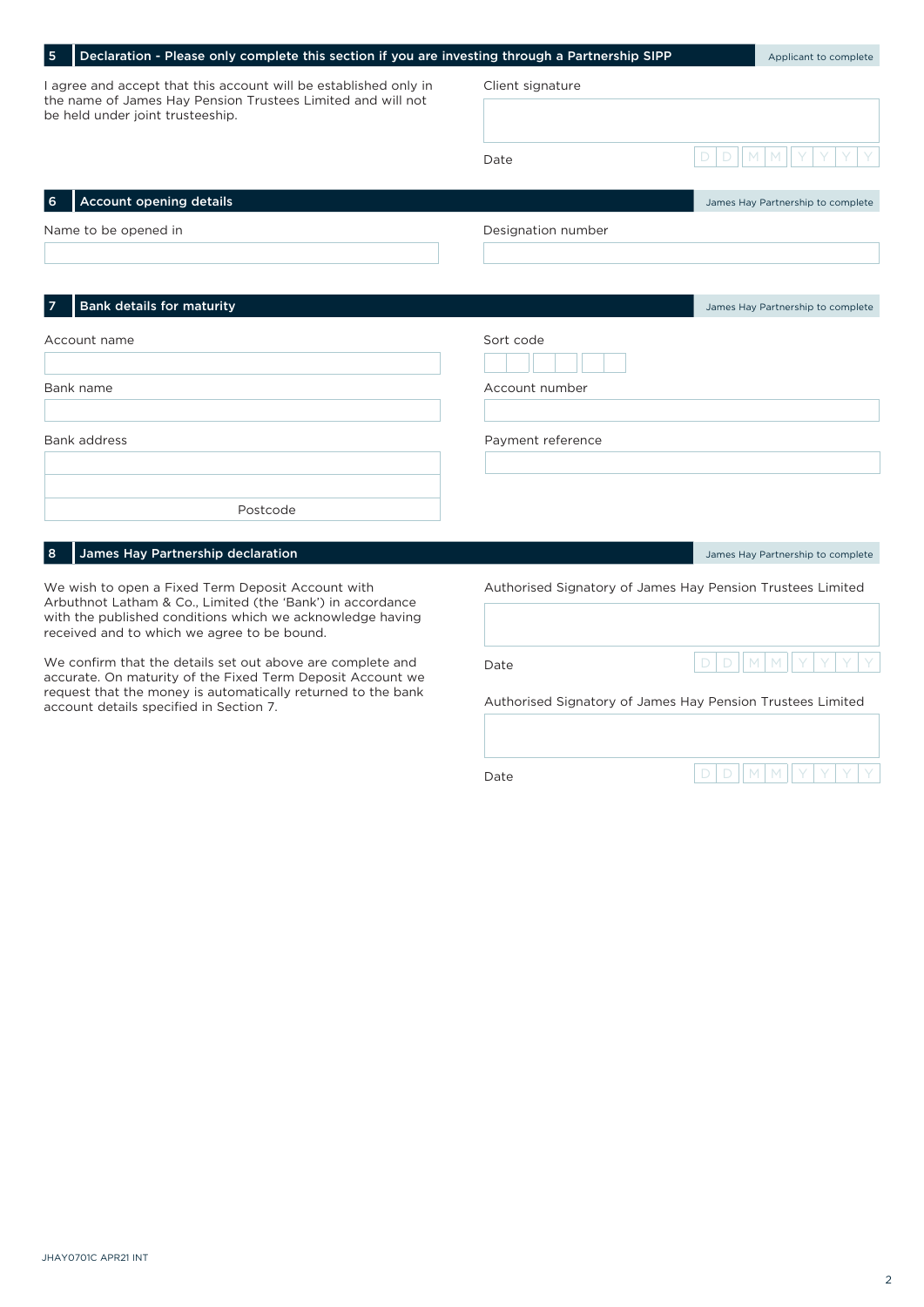| Declaration - Please only complete this section if you are investing through a Partnership SIPP<br>5                                                                                                                        |                    | Applicant to complete                                      |  |
|-----------------------------------------------------------------------------------------------------------------------------------------------------------------------------------------------------------------------------|--------------------|------------------------------------------------------------|--|
| I agree and accept that this account will be established only in<br>the name of James Hay Pension Trustees Limited and will not<br>be held under joint trusteeship.                                                         | Client signature   |                                                            |  |
|                                                                                                                                                                                                                             | Date               | D<br>D                                                     |  |
| <b>Account opening details</b><br>6                                                                                                                                                                                         |                    | James Hay Partnership to complete                          |  |
| Name to be opened in                                                                                                                                                                                                        | Designation number |                                                            |  |
| <b>Bank details for maturity</b>                                                                                                                                                                                            |                    | James Hay Partnership to complete                          |  |
| Account name                                                                                                                                                                                                                | Sort code          |                                                            |  |
| Bank name                                                                                                                                                                                                                   | Account number     |                                                            |  |
| <b>Bank address</b>                                                                                                                                                                                                         | Payment reference  |                                                            |  |
| Postcode                                                                                                                                                                                                                    |                    |                                                            |  |
| James Hay Partnership declaration<br>8                                                                                                                                                                                      |                    | James Hay Partnership to complete                          |  |
| We wish to open a Fixed Term Deposit Account with<br>Arbuthnot Latham & Co., Limited (the 'Bank') in accordance<br>with the published conditions which we acknowledge having<br>received and to which we agree to be bound. |                    | Authorised Signatory of James Hay Pension Trustees Limited |  |
| We confirm that the details set out above are complete and<br>accurate. On maturity of the Fixed Term Deposit Account we                                                                                                    | Date               | D<br>D<br>M                                                |  |
| request that the money is automatically returned to the bank<br>account details specified in Section 7.                                                                                                                     |                    | Authorised Signatory of James Hay Pension Trustees Limited |  |
|                                                                                                                                                                                                                             | Date               | D<br>D<br>M                                                |  |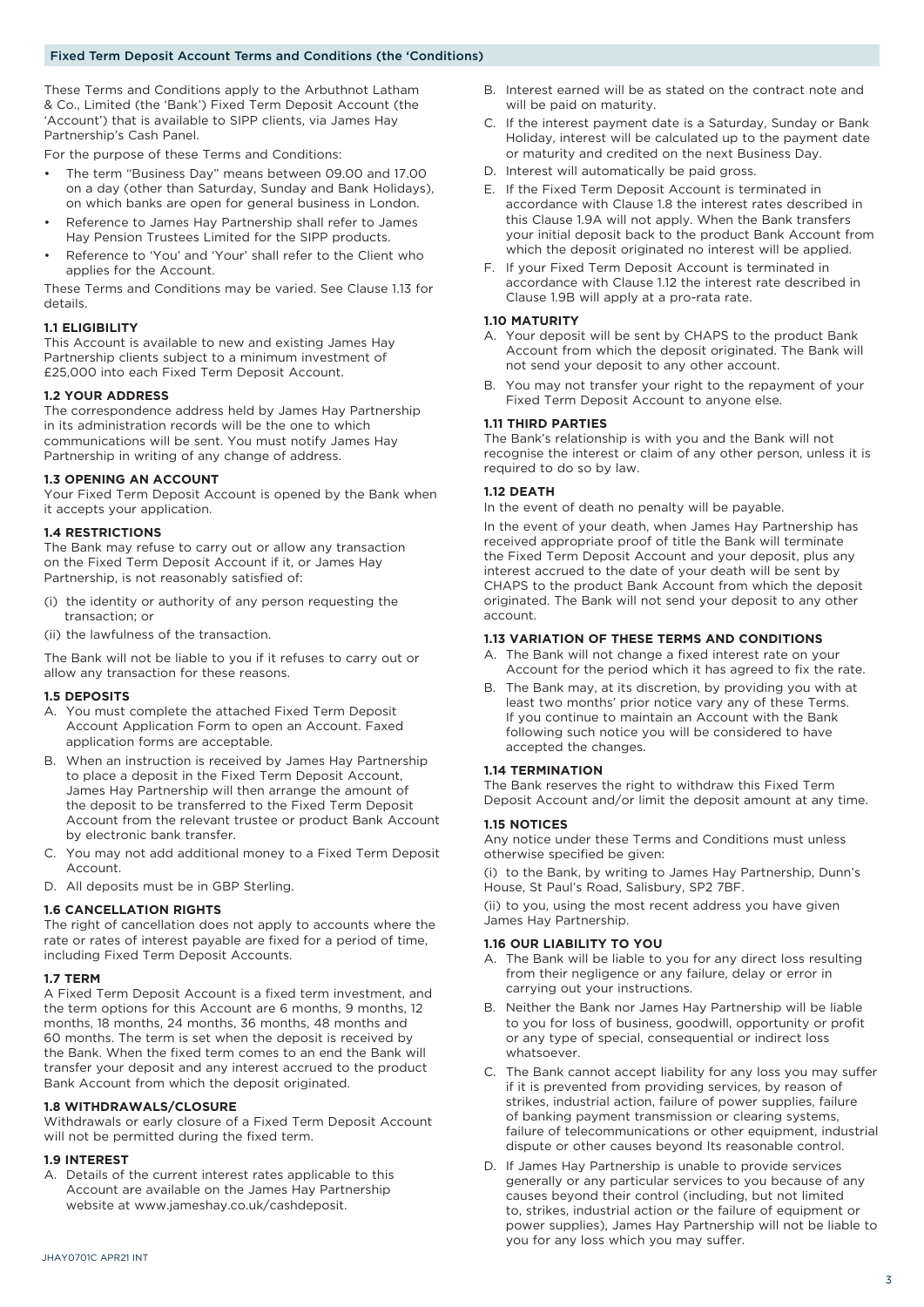These Terms and Conditions apply to the Arbuthnot Latham & Co., Limited (the 'Bank') Fixed Term Deposit Account (the 'Account') that is available to SIPP clients, via James Hay Partnership's Cash Panel.

For the purpose of these Terms and Conditions:

- The term "Business Day" means between 09.00 and 17.00 on a day (other than Saturday, Sunday and Bank Holidays), on which banks are open for general business in London.
- Reference to James Hay Partnership shall refer to James Hay Pension Trustees Limited for the SIPP products.
- Reference to 'You' and 'Your' shall refer to the Client who applies for the Account.

These Terms and Conditions may be varied. See Clause 1.13 for details.

#### **1.1 ELIGIBILITY**

This Account is available to new and existing James Hay Partnership clients subject to a minimum investment of £25,000 into each Fixed Term Deposit Account.

#### **1.2 YOUR ADDRESS**

The correspondence address held by James Hay Partnership in its administration records will be the one to which communications will be sent. You must notify James Hay Partnership in writing of any change of address.

#### **1.3 OPENING AN ACCOUNT**

Your Fixed Term Deposit Account is opened by the Bank when it accepts your application.

#### **1.4 RESTRICTIONS**

The Bank may refuse to carry out or allow any transaction on the Fixed Term Deposit Account if it, or James Hay Partnership, is not reasonably satisfied of:

- (i) the identity or authority of any person requesting the transaction; or
- (ii) the lawfulness of the transaction.

The Bank will not be liable to you if it refuses to carry out or allow any transaction for these reasons.

#### **1.5 DEPOSITS**

- A. You must complete the attached Fixed Term Deposit Account Application Form to open an Account. Faxed application forms are acceptable.
- B. When an instruction is received by James Hay Partnership to place a deposit in the Fixed Term Deposit Account, James Hay Partnership will then arrange the amount of the deposit to be transferred to the Fixed Term Deposit Account from the relevant trustee or product Bank Account by electronic bank transfer.
- C. You may not add additional money to a Fixed Term Deposit Account.
- D. All deposits must be in GBP Sterling.

#### **1.6 CANCELLATION RIGHTS**

The right of cancellation does not apply to accounts where the rate or rates of interest payable are fixed for a period of time, including Fixed Term Deposit Accounts.

#### **1.7 TERM**

A Fixed Term Deposit Account is a fixed term investment, and the term options for this Account are 6 months, 9 months, 12 months, 18 months, 24 months, 36 months, 48 months and 60 months. The term is set when the deposit is received by the Bank. When the fixed term comes to an end the Bank will transfer your deposit and any interest accrued to the product Bank Account from which the deposit originated.

#### **1.8 WITHDRAWALS/CLOSURE**

Withdrawals or early closure of a Fixed Term Deposit Account will not be permitted during the fixed term.

#### **1.9 INTEREST**

A. Details of the current interest rates applicable to this Account are available on the James Hay Partnership website at www.jameshay.co.uk/cashdeposit.

- B. Interest earned will be as stated on the contract note and will be paid on maturity.
- C. If the interest payment date is a Saturday, Sunday or Bank Holiday, interest will be calculated up to the payment date or maturity and credited on the next Business Day.
- D. Interest will automatically be paid gross.
- E. If the Fixed Term Deposit Account is terminated in accordance with Clause 1.8 the interest rates described in this Clause 1.9A will not apply. When the Bank transfers your initial deposit back to the product Bank Account from which the deposit originated no interest will be applied.
- F. If your Fixed Term Deposit Account is terminated in accordance with Clause 1.12 the interest rate described in Clause 1.9B will apply at a pro-rata rate.

#### **1.10 MATURITY**

- A. Your deposit will be sent by CHAPS to the product Bank Account from which the deposit originated. The Bank will not send your deposit to any other account.
- B. You may not transfer your right to the repayment of your Fixed Term Deposit Account to anyone else.

#### **1.11 THIRD PARTIES**

The Bank's relationship is with you and the Bank will not recognise the interest or claim of any other person, unless it is required to do so by law.

#### **1.12 DEATH**

In the event of death no penalty will be payable.

In the event of your death, when James Hay Partnership has received appropriate proof of title the Bank will terminate the Fixed Term Deposit Account and your deposit, plus any interest accrued to the date of your death will be sent by CHAPS to the product Bank Account from which the deposit originated. The Bank will not send your deposit to any other account.

#### **1.13 VARIATION OF THESE TERMS AND CONDITIONS**

- A. The Bank will not change a fixed interest rate on your Account for the period which it has agreed to fix the rate.
- B. The Bank may, at its discretion, by providing you with at least two months' prior notice vary any of these Terms. If you continue to maintain an Account with the Bank following such notice you will be considered to have accepted the changes.

#### **1.14 TERMINATION**

The Bank reserves the right to withdraw this Fixed Term Deposit Account and/or limit the deposit amount at any time.

#### **1.15 NOTICES**

Any notice under these Terms and Conditions must unless otherwise specified be given:

(i) to the Bank, by writing to James Hay Partnership, Dunn's House, St Paul's Road, Salisbury, SP2 7BF.

(ii) to you, using the most recent address you have given James Hay Partnership.

#### **1.16 OUR LIABILITY TO YOU**

- A. The Bank will be liable to you for any direct loss resulting from their negligence or any failure, delay or error in carrying out your instructions.
- B. Neither the Bank nor James Hay Partnership will be liable to you for loss of business, goodwill, opportunity or profit or any type of special, consequential or indirect loss whatsoever.
- C. The Bank cannot accept liability for any loss you may suffer if it is prevented from providing services, by reason of strikes, industrial action, failure of power supplies, failure of banking payment transmission or clearing systems, failure of telecommunications or other equipment, industrial dispute or other causes beyond Its reasonable control.
- D. If James Hay Partnership is unable to provide services generally or any particular services to you because of any causes beyond their control (including, but not limited to, strikes, industrial action or the failure of equipment or power supplies), James Hay Partnership will not be liable to you for any loss which you may suffer.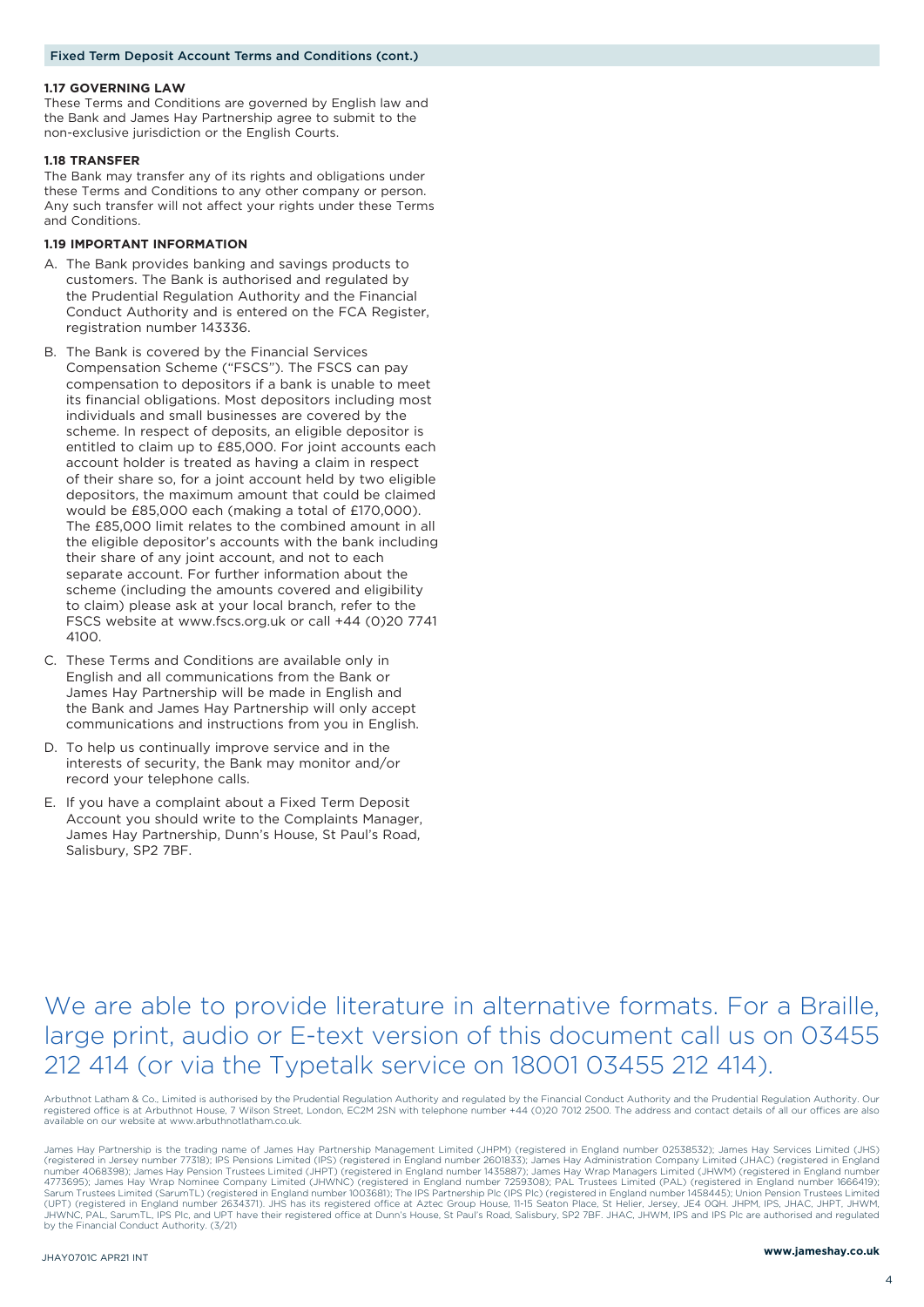#### **1.17 GOVERNING LAW**

These Terms and Conditions are governed by English law and the Bank and James Hay Partnership agree to submit to the non-exclusive jurisdiction or the English Courts.

#### **1.18 TRANSFER**

The Bank may transfer any of its rights and obligations under these Terms and Conditions to any other company or person. Any such transfer will not affect your rights under these Terms and Conditions.

#### **1.19 IMPORTANT INFORMATION**

- A. The Bank provides banking and savings products to customers. The Bank is authorised and regulated by the Prudential Regulation Authority and the Financial Conduct Authority and is entered on the FCA Register, registration number 143336.
- B. The Bank is covered by the Financial Services Compensation Scheme ("FSCS"). The FSCS can pay compensation to depositors if a bank is unable to meet its financial obligations. Most depositors including most individuals and small businesses are covered by the scheme. In respect of deposits, an eligible depositor is entitled to claim up to £85,000. For joint accounts each account holder is treated as having a claim in respect of their share so, for a joint account held by two eligible depositors, the maximum amount that could be claimed would be £85,000 each (making a total of £170,000). The £85,000 limit relates to the combined amount in all the eligible depositor's accounts with the bank including their share of any joint account, and not to each separate account. For further information about the scheme (including the amounts covered and eligibility to claim) please ask at your local branch, refer to the FSCS website at www.fscs.org.uk or call +44 (0)20 7741 4100.
- C. These Terms and Conditions are available only in English and all communications from the Bank or James Hay Partnership will be made in English and the Bank and James Hay Partnership will only accept communications and instructions from you in English.
- D. To help us continually improve service and in the interests of security, the Bank may monitor and/or record your telephone calls.
- E. If you have a complaint about a Fixed Term Deposit Account you should write to the Complaints Manager, James Hay Partnership, Dunn's House, St Paul's Road, Salisbury, SP2 7BF.

# We are able to provide literature in alternative formats. For a Braille, large print, audio or E-text version of this document call us on 03455 212 414 (or via the Typetalk service on 18001 03455 212 414).

Arbuthnot Latham & Co., Limited is authorised by the Prudential Regulation Authority and regulated by the Financial Conduct Authority and the Prudential Regulation Authority. Our<br>registered office is at Arbuthnot House, 7 available on our website at www.arbuthnotlatham.co.uk.

James Hay Partnership is the trading name of James Hay Partnership Management Limited (JHPM) (registered in England number 02538532); James Hay Services Limited (JHS) (registered in Jersey number 77318); IPS Pensions Limited (IPS) (registered in England number 2601833); James Hay Administration Company Limited (JHAC) (registered in England<br>number 4068398); James Hay Pension Trustees Lim JHWNC, PAL, SarumTL, IPS Plc, and UPT have their registered office at Dunn's House, St Paul's Road, Salisbury, SP2 7BF. JHAC, JHWM, IPS and IPS Plc are authorised and regulated by the Financial Conduct Authority. (3/21)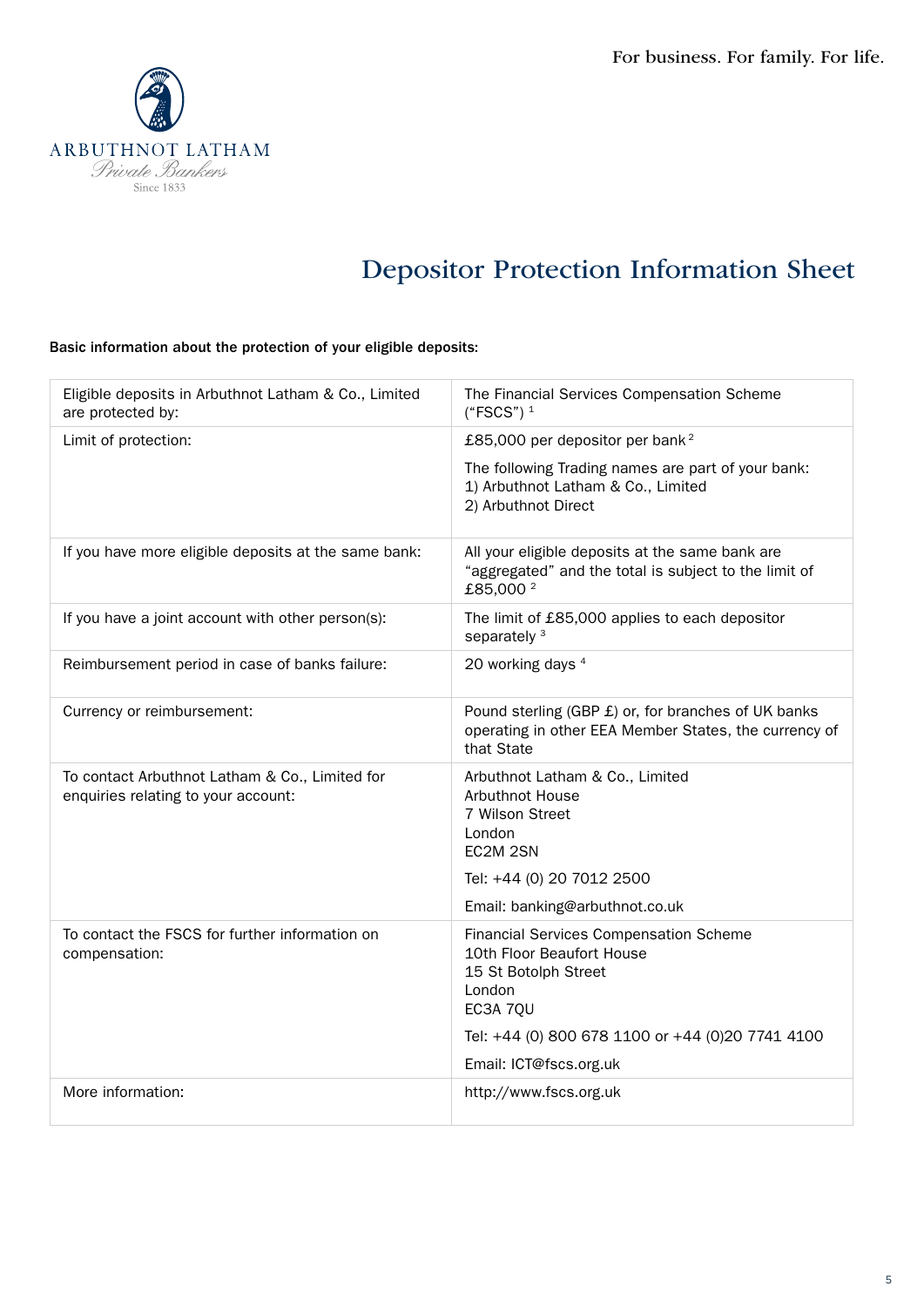

# Depositor Protection Information Sheet

# Basic information about the protection of your eligible deposits:

| Eligible deposits in Arbuthnot Latham & Co., Limited<br>are protected by:             | The Financial Services Compensation Scheme<br>$("FSCS")$ <sup>1</sup>                                                            |
|---------------------------------------------------------------------------------------|----------------------------------------------------------------------------------------------------------------------------------|
| Limit of protection:                                                                  | £85,000 per depositor per bank <sup>2</sup>                                                                                      |
|                                                                                       | The following Trading names are part of your bank:<br>1) Arbuthnot Latham & Co., Limited<br>2) Arbuthnot Direct                  |
| If you have more eligible deposits at the same bank:                                  | All your eligible deposits at the same bank are<br>"aggregated" and the total is subject to the limit of<br>£85,000 <sup>2</sup> |
| If you have a joint account with other person(s):                                     | The limit of £85,000 applies to each depositor<br>separately <sup>3</sup>                                                        |
| Reimbursement period in case of banks failure:                                        | 20 working days 4                                                                                                                |
| Currency or reimbursement:                                                            | Pound sterling (GBP £) or, for branches of UK banks<br>operating in other EEA Member States, the currency of<br>that State       |
| To contact Arbuthnot Latham & Co., Limited for<br>enquiries relating to your account: | Arbuthnot Latham & Co., Limited<br>Arbuthnot House<br>7 Wilson Street<br>London<br>EC2M 2SN                                      |
|                                                                                       | Tel: +44 (0) 20 7012 2500                                                                                                        |
| To contact the FSCS for further information on                                        | Email: banking@arbuthnot.co.uk<br><b>Financial Services Compensation Scheme</b>                                                  |
| compensation:                                                                         | 10th Floor Beaufort House<br>15 St Botolph Street<br>London<br>EC3A 7QU                                                          |
|                                                                                       | Tel: +44 (0) 800 678 1100 or +44 (0)20 7741 4100                                                                                 |
|                                                                                       | Email: ICT@fscs.org.uk                                                                                                           |
| More information:                                                                     | http://www.fscs.org.uk                                                                                                           |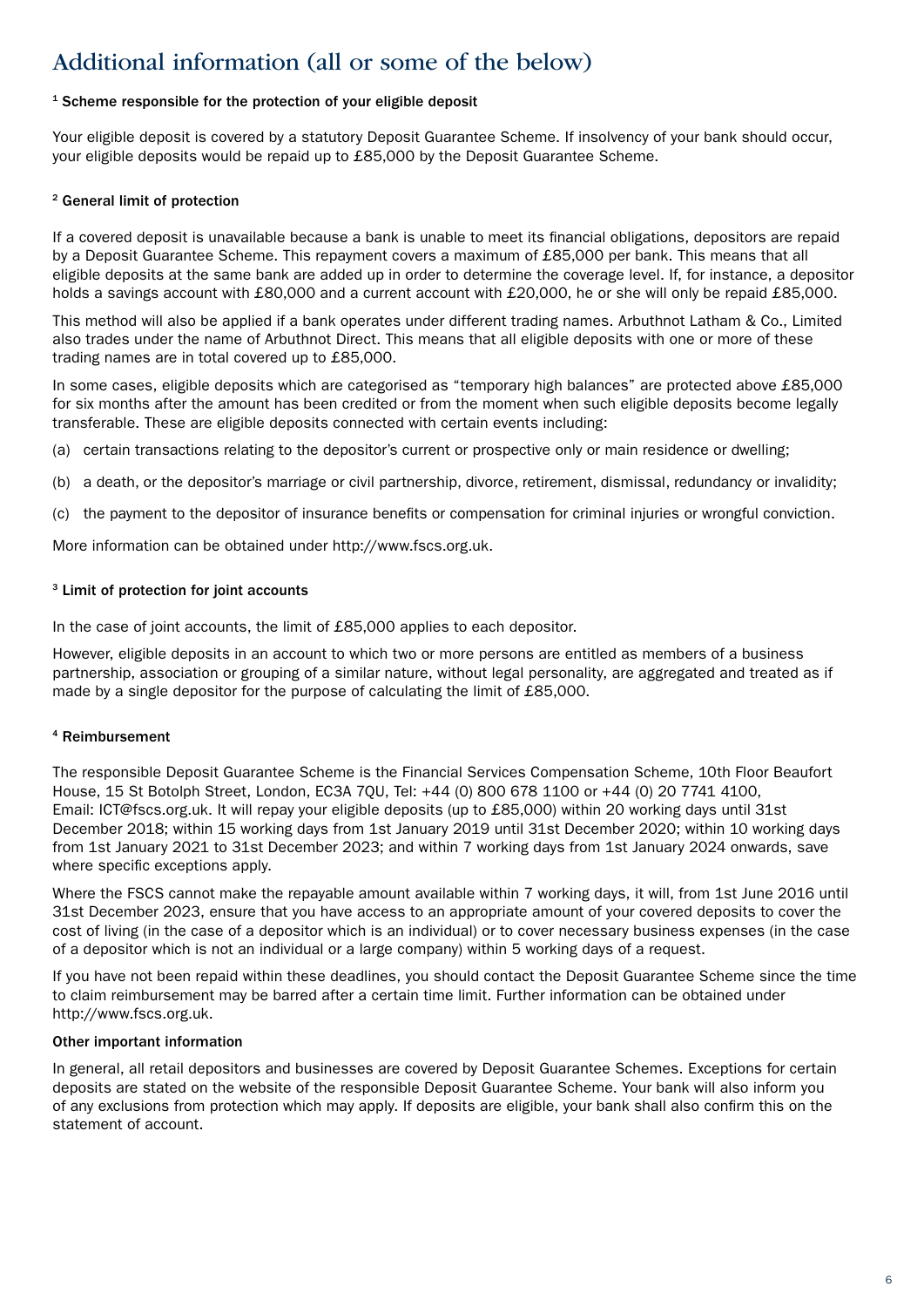# Additional information (all or some of the below)

# <sup>1</sup> Scheme responsible for the protection of your eligible deposit

Your eligible deposit is covered by a statutory Deposit Guarantee Scheme. If insolvency of your bank should occur, your eligible deposits would be repaid up to £85,000 by the Deposit Guarantee Scheme.

## 2 General limit of protection

If a covered deposit is unavailable because a bank is unable to meet its financial obligations, depositors are repaid by a Deposit Guarantee Scheme. This repayment covers a maximum of £85,000 per bank. This means that all eligible deposits at the same bank are added up in order to determine the coverage level. If, for instance, a depositor holds a savings account with £80,000 and a current account with £20,000, he or she will only be repaid £85,000.

This method will also be applied if a bank operates under different trading names. Arbuthnot Latham & Co., Limited also trades under the name of Arbuthnot Direct. This means that all eligible deposits with one or more of these trading names are in total covered up to £85,000.

In some cases, eligible deposits which are categorised as "temporary high balances" are protected above £85,000 for six months after the amount has been credited or from the moment when such eligible deposits become legally transferable. These are eligible deposits connected with certain events including:

(a) certain transactions relating to the depositor's current or prospective only or main residence or dwelling;

(b) a death, or the depositor's marriage or civil partnership, divorce, retirement, dismissal, redundancy or invalidity;

(c) the payment to the depositor of insurance benefits or compensation for criminal injuries or wrongful conviction.

More information can be obtained under http://www.fscs.org.uk.

## 3 Limit of protection for joint accounts

In the case of joint accounts, the limit of £85,000 applies to each depositor.

However, eligible deposits in an account to which two or more persons are entitled as members of a business partnership, association or grouping of a similar nature, without legal personality, are aggregated and treated as if made by a single depositor for the purpose of calculating the limit of £85,000.

## 4 Reimbursement

The responsible Deposit Guarantee Scheme is the Financial Services Compensation Scheme, 10th Floor Beaufort House, 15 St Botolph Street, London, EC3A 7QU, Tel: +44 (0) 800 678 1100 or +44 (0) 20 7741 4100, Email: ICT@fscs.org.uk. It will repay your eligible deposits (up to £85,000) within 20 working days until 31st December 2018; within 15 working days from 1st January 2019 until 31st December 2020; within 10 working days from 1st January 2021 to 31st December 2023; and within 7 working days from 1st January 2024 onwards, save where specific exceptions apply.

Where the FSCS cannot make the repayable amount available within 7 working days, it will, from 1st June 2016 until 31st December 2023, ensure that you have access to an appropriate amount of your covered deposits to cover the cost of living (in the case of a depositor which is an individual) or to cover necessary business expenses (in the case of a depositor which is not an individual or a large company) within 5 working days of a request.

If you have not been repaid within these deadlines, you should contact the Deposit Guarantee Scheme since the time to claim reimbursement may be barred after a certain time limit. Further information can be obtained under http://www.fscs.org.uk.

## Other important information

In general, all retail depositors and businesses are covered by Deposit Guarantee Schemes. Exceptions for certain deposits are stated on the website of the responsible Deposit Guarantee Scheme. Your bank will also inform you of any exclusions from protection which may apply. If deposits are eligible, your bank shall also confirm this on the statement of account.